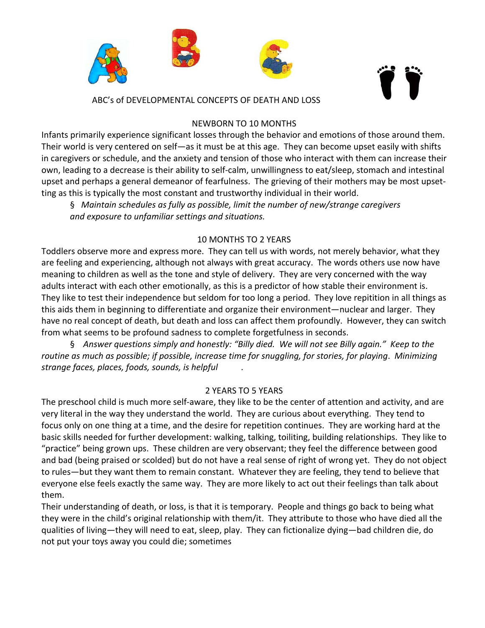



ABC's of DEVELOPMENTAL CONCEPTS OF DEATH AND LOSS

#### NEWBORN TO 10 MONTHS

Infants primarily experience significant losses through the behavior and emotions of those around them. Their world is very centered on self—as it must be at this age. They can become upset easily with shifts in caregivers or schedule, and the anxiety and tension of those who interact with them can increase their own, leading to a decrease is their ability to self‐calm, unwillingness to eat/sleep, stomach and intestinal upset and perhaps a general demeanor of fearfulness. The grieving of their mothers may be most upset‐ ting as this is typically the most constant and trustworthy individual in their world.

§ *Maintain schedules as fully as possible, limit the number of new/strange caregivers and exposure to unfamiliar settings and situations.*

### 10 MONTHS TO 2 YEARS

Toddlers observe more and express more. They can tell us with words, not merely behavior, what they are feeling and experiencing, although not always with great accuracy. The words others use now have meaning to children as well as the tone and style of delivery. They are very concerned with the way adults interact with each other emotionally, as this is a predictor of how stable their environment is. They like to test their independence but seldom for too long a period. They love repitition in all things as this aids them in beginning to differentiate and organize their environment—nuclear and larger. They have no real concept of death, but death and loss can affect them profoundly. However, they can switch from what seems to be profound sadness to complete forgetfulness in seconds.

§ Answer questions simply and honestly: "Billy died. We will not see Billy again." Keep to the *routine as much as possible; if possible, increase time for snuggling, for stories, for playing*. *Minimizing strange faces, places, foods, sounds, is helpful* .

#### 2 YEARS TO 5 YEARS

The preschool child is much more self-aware, they like to be the center of attention and activity, and are very literal in the way they understand the world. They are curious about everything. They tend to focus only on one thing at a time, and the desire for repetition continues. They are working hard at the basic skills needed for further development: walking, talking, toiliting, building relationships. They like to "practice" being grown ups. These children are very observant; they feel the difference between good and bad (being praised or scolded) but do not have a real sense of right of wrong yet. They do not object to rules—but they want them to remain constant. Whatever they are feeling, they tend to believe that everyone else feels exactly the same way. They are more likely to act out their feelings than talk about them.

Their understanding of death, or loss, is that it is temporary. People and things go back to being what they were in the child's original relationship with them/it. They attribute to those who have died all the qualities of living—they will need to eat, sleep, play. They can fictionalize dying—bad children die, do not put your toys away you could die; sometimes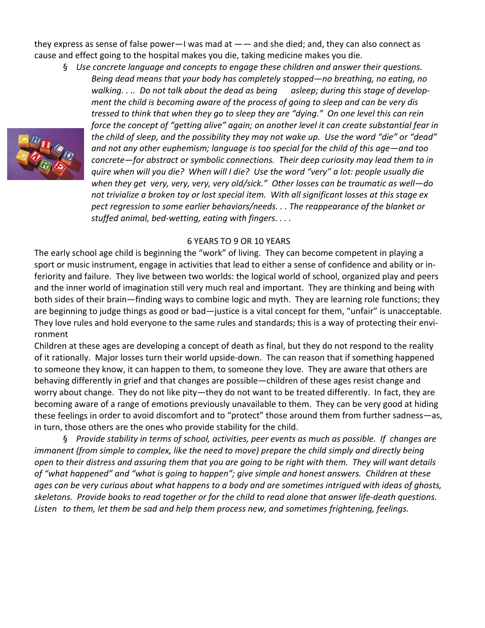they express as sense of false power—I was mad at —— and she died; and, they can also connect as cause and effect going to the hospital makes you die, taking medicine makes you die.

§ *Use concrete language and concepts to engage these children and answer their questions. Being dead means that your body has completely stopped—no breathing, no eating, no*  walking.... Do not talk about the dead as being asleep; during this stage of develop- *ment the child is becoming aware of the process of going to sleep and can be very dis* tressed to think that when they go to sleep they are "dying." On one level this can rein  *force the concept of "getting alive" again; on another level it can create substantial fear in* the child of sleep, and the possibility they may not wake up. Use the word "die" or "dead"  *and not any other euphemism; language is too special for the child of this age—and too concrete—for abstract or symbolic connections. Their deep curiosity may lead them to in* quire when will you die? When will I die? Use the word "very" a lot: people usually die  *when they get very, very, very, very old/sick." Other losses can be traumatic as well—do* not trivialize a broken toy or lost special item. With all significant losses at this stage ex  *pect regression to some earlier behaviors/needs. . . The reappearance of the blanket or stuffed animal, bed‐wetting, eating with fingers. . . .*

### 6 YEARS TO 9 OR 10 YEARS

The early school age child is beginning the "work" of living. They can become competent in playing a sport or music instrument, engage in activities that lead to either a sense of confidence and ability or in‐ feriority and failure. They live between two worlds: the logical world of school, organized play and peers and the inner world of imagination still very much real and important. They are thinking and being with both sides of their brain—finding ways to combine logic and myth. They are learning role functions; they are beginning to judge things as good or bad—justice is a vital concept for them, "unfair" is unacceptable. They love rules and hold everyone to the same rules and standards; this is a way of protecting their environment

Children at these ages are developing a concept of death as final, but they do not respond to the reality of it rationally. Major losses turn their world upside‐down. The can reason that if something happened to someone they know, it can happen to them, to someone they love. They are aware that others are behaving differently in grief and that changes are possible—children of these ages resist change and worry about change. They do not like pity—they do not want to be treated differently. In fact, they are becoming aware of a range of emotions previously unavailable to them. They can be very good at hiding these feelings in order to avoid discomfort and to "protect" those around them from further sadness—as, in turn, those others are the ones who provide stability for the child.

§ Provide stability in terms of school, activities, peer events as much as possible. If changes are *immanent (from simple to complex, like the need to move) prepare the child simply and directly being* open to their distress and assuring them that you are going to be right with them. They will want details of "what happened" and "what is going to happen"; give simple and honest answers. Children at these ages can be very curious about what happens to a body and are sometimes intrigued with ideas of ghosts, skeletons. Provide books to read together or for the child to read alone that answer life-death questions. *Listen to them, let them be sad and help them process new, and sometimes frightening, feelings.*

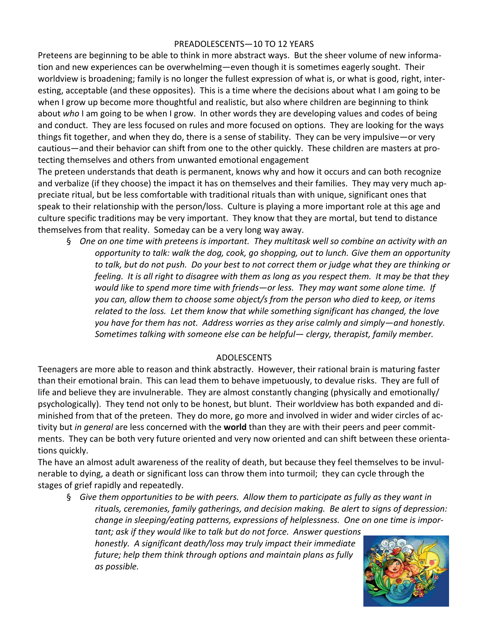## PREADOLESCENTS—10 TO 12 YEARS

Preteens are beginning to be able to think in more abstract ways. But the sheer volume of new informa‐ tion and new experiences can be overwhelming—even though it is sometimes eagerly sought. Their worldview is broadening; family is no longer the fullest expression of what is, or what is good, right, interesting, acceptable (and these opposites). This is a time where the decisions about what I am going to be when I grow up become more thoughtful and realistic, but also where children are beginning to think about *who* I am going to be when I grow. In other words they are developing values and codes of being and conduct. They are less focused on rules and more focused on options. They are looking for the ways things fit together, and when they do, there is a sense of stability. They can be very impulsive—or very cautious—and their behavior can shift from one to the other quickly. These children are masters at pro‐ tecting themselves and others from unwanted emotional engagement

The preteen understands that death is permanent, knows why and how it occurs and can both recognize and verbalize (if they choose) the impact it has on themselves and their families. They may very much appreciate ritual, but be less comfortable with traditional rituals than with unique, significant ones that speak to their relationship with the person/loss. Culture is playing a more important role at this age and culture specific traditions may be very important. They know that they are mortal, but tend to distance themselves from that reality. Someday can be a very long way away.

§ One on one time with preteens is important. They multitask well so combine an activity with an  *opportunity to talk: walk the dog, cook, go shopping, out to lunch. Give them an opportunity* to talk, but do not push. Do your best to not correct them or judge what they are thinking or feeling. It is all right to disagree with them as long as you respect them. It may be that they  *would like to spend more time with friends—or less. They may want some alone time. If you can, allow them to choose some object/s from the person who died to keep, or items related to the loss. Let them know that while something significant has changed, the love you have for them has not. Address worries as they arise calmly and simply—and honestly. Sometimes talking with someone else can be helpful— clergy, therapist, family member.*

## ADOLESCENTS

Teenagers are more able to reason and think abstractly. However, their rational brain is maturing faster than their emotional brain. This can lead them to behave impetuously, to devalue risks. They are full of life and believe they are invulnerable. They are almost constantly changing (physically and emotionally/ psychologically). They tend not only to be honest, but blunt. Their worldview has both expanded and di‐ minished from that of the preteen. They do more, go more and involved in wider and wider circles of ac‐ tivity but *in general* are less concerned with the **world** than they are with their peers and peer commit‐ ments. They can be both very future oriented and very now oriented and can shift between these orienta‐ tions quickly.

The have an almost adult awareness of the reality of death, but because they feel themselves to be invul‐ nerable to dying, a death or significant loss can throw them into turmoil; they can cycle through the stages of grief rapidly and repeatedly.

§ Give them opportunities to be with peers. Allow them to participate as fully as they want in  *rituals, ceremonies, family gatherings, and decision making. Be alert to signs of depression: change in sleeping/eating patterns, expressions of helplessness. One on one time is impor‐*

 *tant; ask if they would like to talk but do not force. Answer questions honestly. A significant death/loss may truly impact their immediate future; help them think through options and maintain plans as fully as possible.*